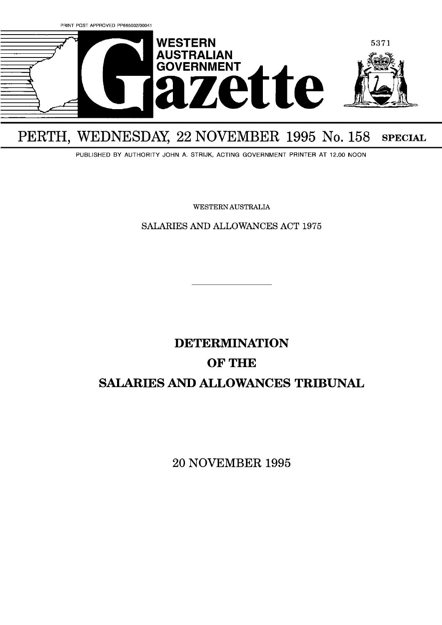

## PERTH, WEDNESDAY, 22 NOVEMBER 1995 No. 158 SPECIAL

PUBLISHED BY AUTHORITY JOHN A. STRIJK, ACTING GOVERNMENT PRINTER AT 12.00 NOON

WESTERN AUSTRALIA

SALARIES AND ALLOWANCES ACT 1975

# **DETERMINATION OF THE SALARIES AND ALLOWANCES TRIBUNAL**

20 NOVEMBER **1995**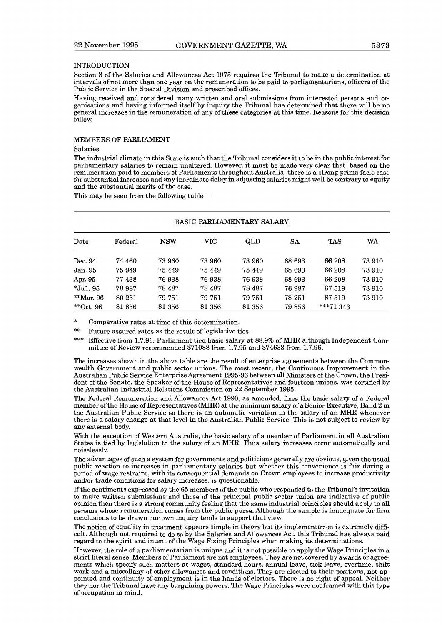#### INTRODUCTION

Section 8 of the Salaries and Allowances Act 1975 requires the Tribunal to make a determination at intervals of not more than one year on the remuneration to be paid to parliamentarians, officers of the Public Service in the Special Division and prescribed offices.

Having received and considered many written and oral submissions from interested persons and organisations and having informed itself by inquiry the Tribunal has determined that there will be no general increases in the remuneration of any of these categories at this time. Reasons for this decision follow.

#### MEMBERS OF PARLIAMENT

#### Salaries

The industrial climate in this State is such that the Tribunal considers it to be in the public interest for parliamentary salaries to remain unaltered. However, it must be made very clear that, based on the remuneration paid to members of Parliaments throughout Australia, there is a strong prima facie case for substantial increases and any inordinate delay in adjusting salaries might well be contrary to equity and the substantial merits of the case.

This may be seen from the following table-

| BASIC PARLIAMENTARY SALARY |         |            |        |        |           |            |        |
|----------------------------|---------|------------|--------|--------|-----------|------------|--------|
| Date                       | Federal | <b>NSW</b> | VIC    | QLD    | <b>SA</b> | TAS        | WA     |
| Dec. 94                    | 74 460  | 73 960     | 73 960 | 73 960 | 68 693    | 66 208     | 73 910 |
| Jan. 95                    | 75 949  | 75 449     | 75 449 | 75 449 | 68 693    | 66 208     | 73 910 |
| Apr. 95                    | 77438   | 76938      | 76938  | 76 938 | 68 693    | 66 208     | 73 910 |
| $*Ju1.95$                  | 78 987  | 78 487     | 78 487 | 78 487 | 76 987    | 67 519     | 73 910 |
| **Mar. $96$                | 80 251  | 79 751     | 79 751 | 79 751 | 78 251    | 67 519     | 73 910 |
| **Oct. $96$                | 81856   | 81 356     | 81 356 | 81 356 | 79 856    | $***71343$ |        |

\* Comparative rates at time of this determination. \*\* Future assured rates as the result of legislative ties.

\*\*\* Effective from 1.7.96. Parliament tied basic salary at 88.9% of MHR although Independent Committee of Review recommended \$71088 from 1.7.95 and \$74633 from 1.7.96.

The increases shown in the above table are the result of enterprise agreements between the Commonwealth Government and public sector unions. The most recent, the Continuous Improvement in the Australian Public Service Enterprise Agreement 1995-96 between all Ministers of the Crown, the President of the Senate, the Speaker of the House of Representatives and fourteen unions, was certified by the Australian Industrial Relations Commission on 22 September 1995.

The Federal Remuneration and Allowances Act 1990, as amended, fixes the basic salary of a Federal member of the House of Representatives (MHR) at the minimum salary of a Senior Executive, Band 2 in the Australian Public Service so there is an automatic variation in the salary of an MHR whenever there is a salary change at that level in the Australian Public Service. This is not subject to review by any external body.

With the exception of Western Australia, the basic salary of a member of Parliament in all Australian States is tied by legislation to the salary of an MHR. Thus salary increases occur automatically and noiselessly.

The advantages of such a system for governments and politicians generally are obvious, given the usual public reaction to increases in parliamentary salaries but whether this convenience is fair during a period of wage restraint, with its consequential demands on Crown employees to increase productivity and/or trade conditions for salary increases, is questionable.

If the sentiments expressed by the 65 members of the public who responded to the Tribunal's invitation to make written submissions and those of the principal public sector union are indicative of public opinion then there is a strong community feeling that the same industrial principles should apply to all persons whose remuneration comes from the public purse. Although the sample is inadequate for firm conclusions to be drawn our own inquiry tends to support that view.

The notion of equality in treatment appears simple in theory but its implementation is extremely difficult. Although not required to do so by the Salaries and Allowances Act, this Tribunal has always paid regard to the spirit and intent of the Wage Fixing Principles when making its determinations.

However, the role of a parliamentarian is unique and it is not possible to apply the Wage Principles in a strict literal sense. Members of Parliament are not employees. They are not covered by awards or agreements which specify such matters as wages, standard hours, annual leave, sick leave, overtime, shift work and a miscellany of other allowances and conditions. They are elected to their positions, not appointed and continuity of employment is in the hands of electors. There is no right of appeal. Neither they nor the Tribunal have any bargaining powers. The Wage Principles were not framed with this type of occupation in mind.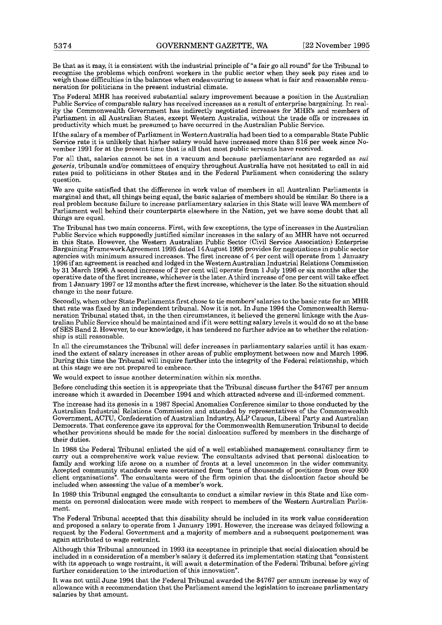Be that as it may, it is consistent with the industrial principle of "a fair go all round" for the Tribunal to recognise the problems which confront workers in the public sector when they seek pay rises and to weigh those dilliculties in the balances when endeavouring to assess what is fair and reasonable remuneration for politicians in the present industrial climate.

The Federal MHR has received substantial salary improvement because a position in the Australian Public Service of comparable salary has received increases as a result of enterprise bargaining. In reality the Commonwealth Government has indirectly negotiated increases for MHR's and members of Parliament in all Australian States, except Western Australia, without the trade offs or increases in productivity which must be presumed to have occurred in the Australian Public Service.

If the salary of a member of Parliament in WesternAustralia had been tied to a comparable State Public Service rate it is unlikely that hisher salary would have increased more than \$16 per week since November 1991 for at the present time that is all that most public servants have received.

For all that, salaries cannot be set in a vacuum and because parliamentarians are regarded as sui generis, tribunals andlor committees of enquiry throughout Australia have not hesitated to call in aid rates paid to politicians in other States and in the Federal Parliament when considering the salary question.

We are quite satisfied that the difference in work value of members in all Australian Parliaments is marginal and that, all things being equal, the basic salaries of members should be similar. So there is a real problem because failure to increase parliamentary salaries in this State will leave WA members of Parliament well behind their counterparts elsewhere in the Nation, yet we have some doubt that all things are equal.

The Tribunal has two main concerns. First, with few exceptions, the type of increases in the Australian Public Service which supposedly justified similar increases in the salary of an MHR have not occurred in this State. However, the Western Australian Public Sector (Civil Service Association) Enterprise Bargaining FrameworkAgreement 1995 dated 14August 1995 provides for negotiations in public sector agencies with minimum assured increases. The first increase of 4 per cent will operate from 1 January 1996 if an agreement is reached and lodged in the Western Australian Industrial Relations Commission by 31 March 1996. A second increase of 2 per cent will operate from 1 July 1996 or six months after the operative date of the first increase, whichever is the later. A third increase of one per cent will take effect from 1 January 1997 or 12 months after the first increase, whichever is the later. So the situation should change in the near future.

Secondly, when other State Parliaments first chose to tie members'salaries to the basic rate for an MHR that rate was fixed by an independent tribunal. Now it is not. In June 1994 the Commonwealth Remuneration Tribunal stated that, in the then circumstances, it believed the general linkage with the Australian Public Service should be maintained and if it were setting salary levels it would do so at the base of SES Band 2. However, to our knowledge, it has tendered no further advice as to whether the relationship is still reasonable.

In **all** the circumstances the Tribunal will defer increases in parliamentary salaries until it has examined the extent of salary increases in other areas of public employment between now and March 1996. During this time the Tribunal will inquire further into the integrity of the Federal relationship, which at this stage we are not prepared to embrace.

We would expect to issue another determination within six months.

Before concluding this section it is appropriate that the Tribunal discuss further the \$4767 per annum increase which it awarded in December 1994 and which attracted adverse and ill-informed comment.

The increase had its genesis in a 1987 Special Anomalies Conference similar to those conducted by the Australian Industrial Relations Commission and attended by representatives of the Commonwealth Government, ACTU, Confederation of Australian Industry, ALP Caucus, Liberal Party and Australian Democrats. That conference gave its approval for the Commonwealth Remuneration Tribunal to decide whether provisions should be made for the social dislocation suffered by members in the discharge of their duties.

In 1988 the Federal Tribunal enlisted the aid of a well established management consultancy firm to carry out a comprehensive work value review. The consultants advised that personal dislocation to family and working life arose on a number of fronts at a level uncommon in the wider community. Accepted community standards were ascertained from "tens of thousands of positions from over 800 client organisations". The consultants were of the firm opinion that the dislocation factor should be included when assessing the value of a member's work.

In 1989 this Tribunal engaged the consultants to conduct a similar review in this State and like comments on personal dislocation were made with respect to members of the Western Australian Parliament.

The Federal Tribunal accepted that this disability should be included in its work value consideration and proposed a salary to operate from 1 January 1991. However, the increase was delayed following a request by the Federal Government and a majority of members and a subsequent postponement was again attributed to wage restraint.

Although this Tribunal announced in 1993 its acceptance in principle that social dislocation should be included in a consideration of a member's salary it deferred its implementation stating that "consistent with its approach to wage restraint, it will await a determination of the Federal Tribunal before giving further consideration to the introduction of this innovation".

It was not until June 1994 that the Federal Tribunal awarded the \$4767 per annum increase by way of allowance with a recommendation that the Parliament amend the legislation to increase parliamentary salaries by that amount.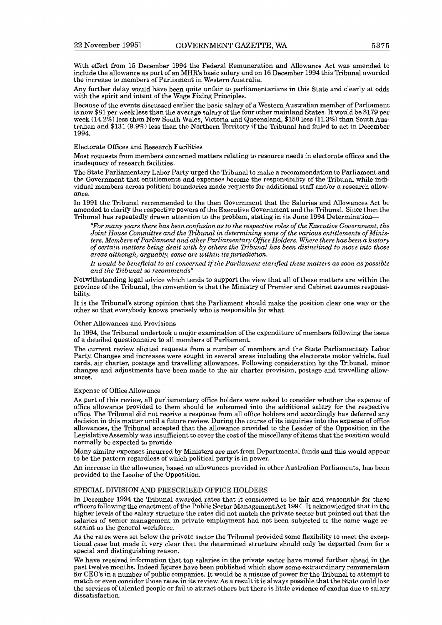With effect from 15 December 1994 the Federal Remuneration and Allowance Act was amended to include the allowance as part of an MHR's basic salary and on 16 December 1994 this Tribunal awarded the increase to members of Parliament in Western Australia.

Any further delay would have been quite unfair to parliamentarians in this State and clearly at odds with the spirit and intent of the Wage Fixing Principles.

Because of the events discussed earlier the basic salary of a Western Australian member of Parliament is now \$81 per week less than the average salary of the four other mainland States. It would be \$179 per week  $(14.2\%)$  less than New South Wales, Victoria and Queensland, \$150 less  $(11.3\%)$  than South Australian and \$131 (9.9%) less than the Northern Territory if the Tribunal had failed to act in December 1994.

#### Electorate Offices and Research Facilities

Most requests from members concerned matters relating to resource needs in electorate offices and the inadequacy of research facilities.

The State Parliamentary Labor Party urged the Tribunal to make a recommendation to Parliament and the Government that entitlements and expenses become the responsibility of the Tribunal while individual members across political boundaries made requests for additional staff and/or a research allowance.

In 1991 the Tribunal recommended to the then Government that the Salaries and Allowances Act be amended to clarify the respective powers of the Executive Government and the Tribunal. Since then the Tribunal has repeatedly drawn attention to the problem, stating in its June 1994 Determination-

*"For many years there has been confusion as to the respective roles of the Executive Gouernment, the Joint House Committee and the Dibunal in determining some of the various entitlements of Ministers, Members of Parliament and other Parliamentary Office Holders. Where there has been a history of certain matters being dealt with by others the Dibunal has been disinclined to move into those areas although, arguably, some are within its jurisdiction.* 

*It would be beneficial to all concerned if the Parliament clarified these matters as soon as possible and the Dibunal so recommends"* 

Notwithstanding legal advice which tends to support the view that all of these matters are within the province of the Tribunal, the convention is that the Ministry of Premier and Cabinet assumes responsibility.

It is the Tribunal's strong opinion that the Parliament should make the position clear one way or the other so that everybody knows precisely who is responsible for what.

#### Other Allowances and Provisions

In 1994, the Tribunal undertook a major examination of the expenditure of members following the issue of a detailed questionnaire to all members of Parliament.

The current review elicited requests from a number of members and the State Parliamentary Labor Party. Changes and increases were sought in several areas including the electorate motor vehicle, fuel cards, air charter, postage and travelling allowances. Following consideration by the Tribunal, minor changes and adjustments have been made to the air charter provision, postage and travelling allowances.

#### Expense of Office Allowance

As part of this review, all parliamentary office holders were asked to consider whether the expense of office allowance provided to them should be subsumed into the additional salary for the respective office. The Tribunal did not receive a response from all office holders and accordingly has deferred any decision in this matter until a future review. During the course of its inquiries into the expense of office allowances, the Tribunal accepted that the allowance provided to the Leader of the Opposition in the LegislativeAssembly was insufficient to cover the cost of the miscellany of items that the position would normally be expected to provide.

Many similar expenses incurred by Ministers are met from Departmental funds and this would appear to be the pattern regardless of which political party is in power.

An increase in the allowance, based on allowances provided in other Australian Parliaments, has been provided to the Leader of the Opposition.

#### SPECIAL DIVISION AND PRESCRIBED OFFICE HOLDERS

In December 1994 the Tribunal awarded rates that it considered to be fair and reasonable for these officers following the enactment of the Public Sector Management Act 1994. It acknowledged that in the higher levels of the salary structure the rates did not match the private sector but pointed out that the salaries of senior management in private employment had not been subjected to the same wage restraint as the general workforce.

As the rates were set below the private sector the Tribunal provided some flexibility to meet the exceptional case but made it very clear that the determined structure should only be departed from for a special and distinguishing reason.

We have received information that top salaries in the private sector have moved further ahead in the past twelve months. Indeed figures have been published which show some extraordinary remuneration for CEO's in a number of public companies. It would be a misuse of power for the Tribunal to attempt to match or even consider those rates in its review. As a result it is always possible that the State could lose the services of talented people or fail to attract others but there is little evidence of exodus due to salary dissatisfaction.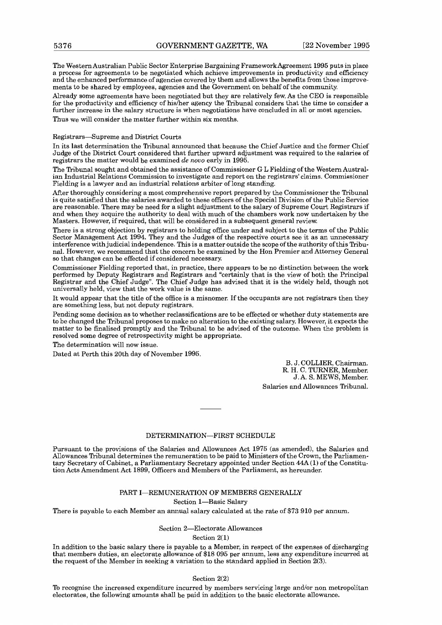The Western Australian Public Sector Enterprise Bargaining FrarneworkAgreement 1995 puts in place a process for agreements to be negotiated which achieve improvements in productivity and efficiency and the enhanced performance of agencies covered by them and allows the benefits from those improvements to be shared by employees, agencies and the Government on behalf of the community.

Already some agreements have been negotiated but they are relatively few. As the CEO is responsible for the productivity and efficiency of his/her agency the Tribunal considers that the time to consider a further increase in the salary structure is when negotiations have concluded in all or most agencies. Thus we will consider the matter further within six months.

Registrars-Supreme and District Courts

In its last determination the Tribunal announced that because the Chief Justice and the former Chief Judge of the District Court considered that further upward adjustment was required to the salaries of registrars the matter would be examined de *novo* early in 1995.

The Tribunal sought and obtained the assistance of Commissioner G L Fielding of the Western Australian Industrial Relations Commission to investigate and report on the registrars' claims. Commissioner Fielding is a lawyer and an industrial relations arbiter of long standing.

After thoroughly considering a most comprehensive report prepared by the Commissioner the Tribunal is quite satisfied that the salaries awarded to these officers of the Special Division of the Public Service are reasonable. There may be need for a slight adjustment to the salary of Supreme Court Registrars if and when they acquire the authority to deal with much of the chambers work now undertaken by the Masters. However, if required, that will be considered in a subsequent general review.

There is a strong objection by registrars to holding office under and subject to the terms of the Public Sector Management Act 1994. They and the Judges of the respective courts see it as an unnecessary interference with judicial independence. This is a matter outside the scope of the authority ofthis Tribunal. However, we recommend that the concern be examined by the Hon Premier and Attorney General so that changes can be effected if considered necessary.

Commissioner Fielding reported that, in practice, there appears to be no distinction between the work performed by Deputy Registrars and Registrars and "certainly that is the view of both the Principal Registrar and the Chief Judge". The Chief Judge has advised that it is the widely held, though not universally held, view that the work value is the same.

It would appear that the title of the office is a misnomer. If the occupants are not registrars then they are something less, but not deputy registrars.

Pending some decision as to whether reclassifications are to be effected or whether duty statements are to be changed the Tribunal proposes to make no alteration to the existing salary. However, it expects the matter to be finalised promptly and the Tribunal to be advised of the outcome. When the problem is resolved some degree of retrospectivity might be appropriate.

The determination will now issue.

Dated at Perth this 20th day of November 1995.

B. J. COLLIER, Chairman. R. H. C. TURNER, Member. J. A. S. MEWS, Member. Salaries and Allowances Tribunal.

#### DETERMINATION-FIRST SCHEDULE

Pursuant to the provisions of the Salaries and Allowances Act 1975 (as amended), the Salaries and Allowances Tribunal determines the remuneration to be paid to Ministers of the Crown, the Parliamentary Secretary of Cabinet, a Parliamentary Secretary appointed under Section 44A **(1)** of the Constitution Acts Amendment Act 1899, Officers and Members of the Parliament, as hereunder.

#### PART I-REMUNERATION OF MEMBERS GENERALLY

Section 1-Basic Salary

There is payable to each Member an annual salary calculated at the rate of \$73 910 per annum.

#### Section 2-Electorate Allowances

Section  $2(1)$ 

In addition to the basic salary there is payable to a Member, in respect of the expenses of discharging that members duties, an electorate allowance of \$18 095 per annum, less any expenditure incurred at the request of the Member in seeking a variation to the standard applied in Section 2(3).

Section 2(2)

**To** recognise the increased expenditure incurred by members servicing large and/or non metropolitan electorates, the following amounts shall be paid in addition to the basic electorate allowance.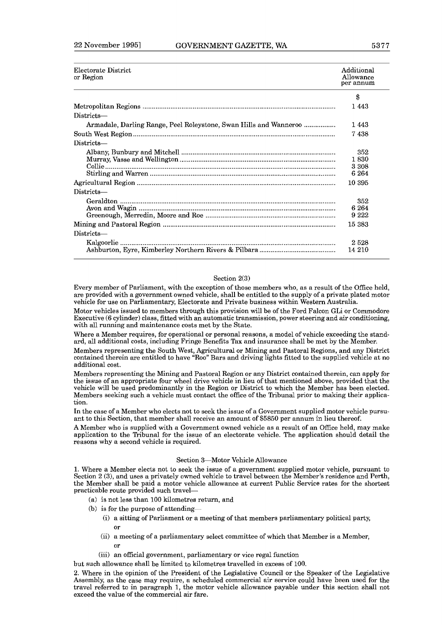| Electorate District<br>or Region                                  | Additional<br>Allowance<br>per annum |
|-------------------------------------------------------------------|--------------------------------------|
|                                                                   | \$                                   |
|                                                                   | 1 443                                |
| Districts—                                                        |                                      |
| Armadale, Darling Range, Peel Roleystone, Swan Hills and Wanneroo | 1443                                 |
|                                                                   | 7 438                                |
| Districts—                                                        |                                      |
|                                                                   | 352<br>1.830<br>3 3 0 8<br>6 2 6 4   |
|                                                                   | 10.395                               |
| Districts-                                                        |                                      |
|                                                                   | 352<br>6 264<br>9 2 2 2              |
|                                                                   | 15 383                               |
| Districts—                                                        |                                      |
|                                                                   | 2528<br>14 210                       |

#### Section 2(3)

Every member of Parliament, with the exception of those members who, as a result of the Office held, are provided with a government owned vehicle, shall be entitled to the supply of a private plated motor vehicle for use on Parliamentary, Electorate and Private business within Western Australia.

Motor vehicles issued to members through this provision will be of the Ford Falcon GLi or Commodore Executive (6 cylinder) class, fitted with an automatic transmission, power steering and air conditioning, with all running and maintenance costs met by the State.

Where a Member requires, for operational or personal reasons, a model of vehicle exceeding the standard, all additional costs, including Fringe Benefits Tax and insurance shall be met by the Member.

Members representing the South West, Agricultural or Mining and Pastoral Regions, and any District contained therein are entitled to have "Roo" Bars and driving lights fitted to the supplied vehicle at no additional cost.

Members representing the Mining and Pastoral Region or any District contained therein, can apply for the issue of an appropriate four wheel drive vehicle in lieu of that mentioned above, provided that the vehicle will be used predominantly in the Region or District to which the Member has been elected. Members seeking such a vehicle must contact the office of the Tribunal prior to making their application.

In the case of a Member who elects not to seek the issue of a Government supplied motor vehicle pursuant to this Section, that member shall receive an amount of \$5850 per annum in lieu thereof.

A Member who is supplied with a Government owned vehicle as a result of an Office held, may make application to the Tribunal for the issue of an electorate vehicle. The application should detail the reasons why a second vehicle is required.

#### Section 3-Motor Vehicle Allowance

1. Where **a** Member elects not to seek the issue of a government supplied motor vehicle, pursuant to Section 2 **(31,** and uses a privately owned vehicle to travel between the Member's residence and Perth, the Member shall be paid a motor vehicle allowance at current Public Service rates for the shortest practicable route provided such travel-

- (a) is not less than 100 kilometres return, and
- (b) is for the purpose of attending-
	- (i) a sitting of Parliament or a meeting of that members parliamentary political party, or
	- (ii) a meeting of a parliamentary select committee of which that Member is a Member, or
	- (iii) an official government, parliamentary or vice regal function

hut such allowance shall be limited to kilometres travelled in excess of **100.** 

**2.** Where in the opinion of the President of the Legislative Council or the Speaker of the Legislative Assembly, as the case may require, a scheduled commercial air service could have been used for the travel referred to in paragraph 1, the motor vehicle allowance payable under this section shall not exceed the value of the commercial air fare.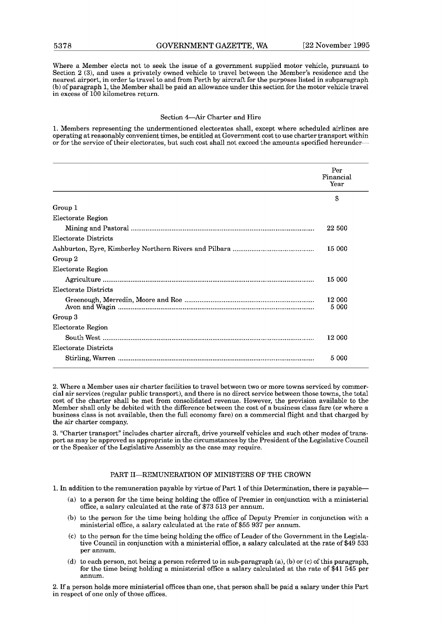Where a Member elects not to seek the issue of a government supplied motor vehicle, pursuant to Section **2** (3), and uses a privately owned vehicle to travel between the Member's residence and the nearest airport, in order to travel to and from Perth by aircraft for the purposes listed in subparagraph (b) of paragraph 1, the Member shall be paid an allowance under this section for the motor vehicle travel in excess of 100 kilometres return.

#### Section 4-Air Charter and Hire

1. Members representing the undermentioned electorates shall, except where scheduled airlines are operating at reasonably convenient times, be entitled at Government cost to use charter transport within or for the service of their electorates, but such cost shall not exceed the mounts specified hereunder-

|                      | Per<br>Financial<br>Year |
|----------------------|--------------------------|
|                      | S                        |
| Group 1              |                          |
| Electorate Region    |                          |
|                      | 22 500                   |
| Electorate Districts |                          |
|                      | 15 000                   |
| Group 2              |                          |
| Electorate Region    |                          |
|                      | 15 000                   |
| Electorate Districts |                          |
|                      | 12 000<br>5 000          |
| Group 3              |                          |
| Electorate Region    |                          |
|                      | 12 000                   |
| Electorate Districts |                          |
|                      | 5 000                    |

2. Where a Member uses air charter facilities to travel between two or more towns serviced by commercial air services (regular public transport), and there is no direct service between those towns, the total cost of the charter shall be met from consolidated revenue. However, the provision available to the Member shall only be debited with the difference between the cost of a business class fare (or where a business class is not available, then the full economy fare) on a commercial flight and that charged by the air charter company.

**3.** "Charter transport" includes charter aircraft, drive yourself vehicles and such other modes of transport as may be approved as appropriate in the circumstances by the President of the Legislative Council **or** the Speaker of the Legislative Assembly as the case may require.

#### PART II-REMUNERATION OF MINISTERS OF THE CROWN

l. In addition to the remuneration payable by virtue of Part l of this Determination, there is payable-

- (a) to a person for the time being holding the office of Premier in conjunction with a ministerial office, a salary calculated at the rate of **\$73 513** per annum.
- (b) to the person for the time being holding the office of Deputy Premier in conjunction with a ministerial ofice, a salary calculated at the rate of **\$55** 937 per annum.
- $(c)$  to the person for the time being holding the office of Leader of the Government in the Legislative Council in conjunction with a ministerial office, a salary calculated at the rate of \$49 **533**  per annum.
- (d) to each person, not being a person referred to in sub-paragraph (a), (b) or (c) of this paragraph, for the time being holding a ministerial office a salary calculated at the rate of **\$41 545** per annum.

2. If a person holds more ministerial offices than one, that person shall be paid a salary under this **Part**  in respect of one only of those offices.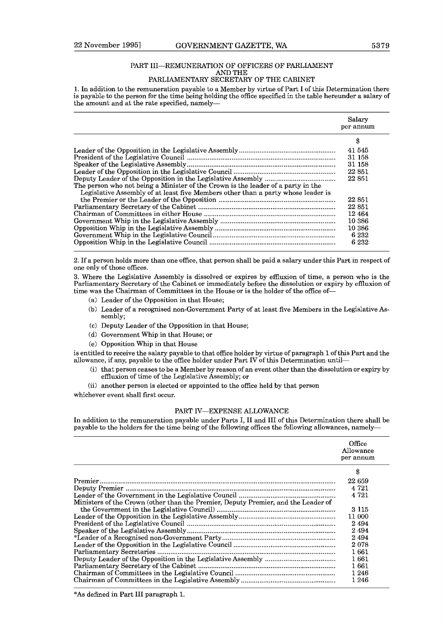#### PART III-REMUNERATION OF OFFICERS OF PARLIAMENT AND THE PARLIAMENTARY SECRETARY OF THE CABINET

**1.** In addition to the remuneration payable to a Member by virtue of Part I of this Determination there is payable to the person for the time being holding the office specified in the table hereunder a salary of the amount and at the rate specified, namely-

|                                                                                  | Salary    |
|----------------------------------------------------------------------------------|-----------|
|                                                                                  | per annum |
|                                                                                  | \$        |
|                                                                                  | 41 545    |
|                                                                                  | 31 158    |
|                                                                                  | 31 158    |
|                                                                                  | 22 851    |
|                                                                                  | 22 851    |
| The person who not being a Minister of the Crown is the leader of a party in the |           |
| Legislative Assembly of at least five Members other than a party whose leader is |           |
|                                                                                  | 22 851    |
|                                                                                  | 22 851    |
|                                                                                  | 12464     |
|                                                                                  | 10 386    |
|                                                                                  | 10 386    |
|                                                                                  | 6 2 3 2   |
|                                                                                  | 6 2 3 2   |

**2.** If a person holds more than one office, that person shall be paid a salary under this Part in respect of one only of those offices.

3. Where the Legislative Assembly is dissolved or expires by effluxion of time, a person who is the Parliamentary Secretary of the Cabinet or immediately before the dissolution or expiry by effluxion of time was the Chairman of Committees in the House or is the holder of the office of-

- (a) Leader of the Opposition in that House;
- (b) Leader of a recognised non-Government Party of at least five Members in the Legislative Assembly;
- (C) Deputy Leader of the Opposition in that House;
- (d) Government Whip in that House; or
- (e) Opposition Whip in that House

is entitled to receive the salary payable to that office holder by virtue of paragraph 1 of this Part and the allowance, if any, payable to the office holder under Part IV of this Determination until-

- (i) that person ceases to be a Member by reason of an event other than the dissolution or expiry by effluxion of time of the Legislative Assembly; or
- (ii) another person is elected or appointed to the office held by that person

whichever event shall first occur.

#### PART IV-EXPENSE ALLOWANCE

In addition to the remuneration payable under Parts I, I1 and I11 of this Determination there shall be payable to the holders for the time being of the following offices the following allowances, namely-

|                                                                                                                                                                                                                                                                                                                                                                                                | Office<br>Allowance<br>per annum |
|------------------------------------------------------------------------------------------------------------------------------------------------------------------------------------------------------------------------------------------------------------------------------------------------------------------------------------------------------------------------------------------------|----------------------------------|
|                                                                                                                                                                                                                                                                                                                                                                                                | \$                               |
|                                                                                                                                                                                                                                                                                                                                                                                                | 22 659                           |
| $\begin{minipage}{0.9\linewidth} \textbf{Premier} \textbf{} \textbf{} \textbf{} \textbf{} \textbf{} \textbf{} \textbf{} \textbf{} \textbf{} \textbf{} \textbf{} \textbf{} \textbf{} \textbf{} \textbf{} \textbf{} \textbf{} \textbf{} \textbf{} \textbf{} \textbf{} \textbf{} \textbf{} \textbf{} \textbf{} \textbf{} \textbf{} \textbf{} \textbf{} \textbf{} \textbf{} \textbf{} \textbf{} \$ | 4 7 2 1                          |
|                                                                                                                                                                                                                                                                                                                                                                                                | 4.721                            |
| Ministers of the Crown (other than the Premier, Deputy Premier, and the Leader of                                                                                                                                                                                                                                                                                                              |                                  |
|                                                                                                                                                                                                                                                                                                                                                                                                | 3 1 1 5                          |
|                                                                                                                                                                                                                                                                                                                                                                                                | 11 000                           |
|                                                                                                                                                                                                                                                                                                                                                                                                | 2494                             |
|                                                                                                                                                                                                                                                                                                                                                                                                | 2494                             |
|                                                                                                                                                                                                                                                                                                                                                                                                | 2494                             |
|                                                                                                                                                                                                                                                                                                                                                                                                | 2078                             |
|                                                                                                                                                                                                                                                                                                                                                                                                | 1661                             |
|                                                                                                                                                                                                                                                                                                                                                                                                | 1 661                            |
|                                                                                                                                                                                                                                                                                                                                                                                                | 1661                             |
|                                                                                                                                                                                                                                                                                                                                                                                                | 1 2 4 6                          |
|                                                                                                                                                                                                                                                                                                                                                                                                | 1 246                            |
|                                                                                                                                                                                                                                                                                                                                                                                                |                                  |

\*As defined in Part I11 paragraph 1.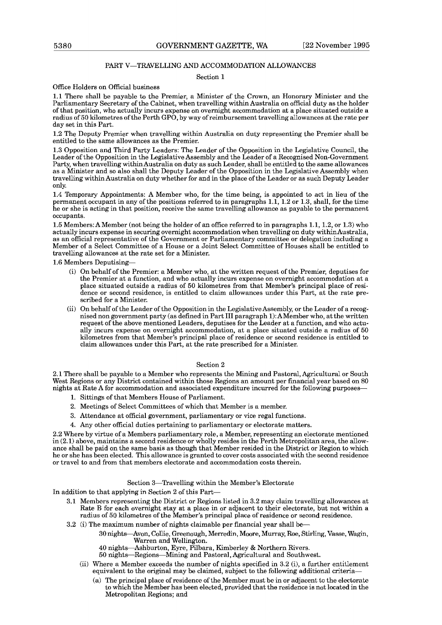#### PART V-TRAVELLING AND ACCOMMODATION ALLOWANCES

#### Section **1**

#### Office Holders on Official business

**1.1** There shall be payable to the Premier, a Minister of the Crown, an Honorary Minister and the Parliamentary Secretary of the Cabinet, when travelling within Australia on official duty as the holder of that position, who actually incurs expense on overnight accommodation at a place situated outside a radius of **50** kilometres of the Perth GPO, by way of reimbursement travelling allowances at the rate per day set in this Part.

**1.2** The Deputy Premier when travelling within Australia on duty representing the Premier shall be entitled to the same allowances as the Premier.

**1.3** Opposition and Third Party Leaders: The Leader of the Opposition in the Legislative Council, the Leader of the Opposition in the Legislative Assembly and the Leader of a Recognised Non-Government Party, when travelling within Australia on duty as such Leader, shall be entitled to the same allowances as a Minister and so also shall the Deputy Leader of the Opposition in the Legislative Assembly when travelling within Australia on duty whether for and in the place of the Leader or as such Deputy Leader only.

**1.4** Temporary Appointments: A Member who, for the time being, is appointed to act in lieu of the permanent occupant in any of the positions referred to in paragraphs 1.1, 1.2 or 1.3, shall, for the time he or she is acting in that position, receive the same travelling allowance as payable to the permanent occupants.

**1.5** Members: A Member (not being the holder of an office referred to in paragraphs **1.1,1.2,** or **1.3)** who actually incurs expense in securing overnight accommodation when travelling on duty withinAustralia, as an official representative of the Government or Parliamentary committee or delegation including a Member of a Select Committee of a House or a Joint Select Committee of Houses shall be entitled to travelling allowances at the rate set for a Minister.

**1.6** Members Deputising-

- (i) On behalf of the Premier: a Member who, at the written request of the Premier, deputises for the Premier at a function, and who actually incurs expense on overnight accommodation at a place situated outside a radius of **50** kilometres from that Member's principal place of residence or second residence, is entitled to claim allowances under this Part, at the rate prescribed for a Minister.
- (ii) On behalf of the Leader of the Opposition in the Legislative Assembly, or the Leader of a recognised non government party (as defined in Part I11 paragraph **l):** AMember who, at the written request of the above mentioned Leaders, deputises for the Leader at a function, and who actually incurs expense on overnight accommodation, at a place situated outside a radius of **50**  kilometres from that Member's principal place of residence or second residence is entitled to claim allowances under this Part, at the rate prescribed for a Minister.

#### Section **2**

**2.1** There shall be payable to a Member who represents the Mining and Pastoral, Agricultural or South West Regions or any District contained within those Regions an amount per financial year based on **80**  nights at Rate A for accommodation and associated expenditure incurred for the following purposes-

- **1.** Sittings of that Members House of Parliament.
- 2. Meetings of Select Committees of which that Member is a member.
- **3.** Attendance at official government, parliamentary or vice regal functions.
- 4. Any other official duties pertaining to parliamentary or electorate matters.

**2.2** Where by virtue of a Members parliamentary role, a Member, representing an electorate mentioned in **(2.1)** above, maintains a second residence or wholly resides in the Perth Metropolitan area, the allowance shall be paid on the same basis as though that Member resided in the District or Region to which he or she has been elected. This allowance is granted to cover costs associated with the second residence or travel to and from that members electorate and accommodation costs therein.

#### Section 3-Travelling within the Member's Electorate

In addition to that applying in Section **2** of this Part-

- **3.1** Members representing the District or Regions listed in 3.2 may claim travelhg allowances at Rate B for each overnight stay at a place in or adjacent to their electorate, but not within a radius of 50 kilometres of the Member's principal place of residence or second residence.
- 3.2 (i) The maximum number of nights claimable per financial year shall be-

**30** nights-Avon, Collie, Greenough, Merredin, Moore, Murray, Fbe, Stirling, Vasse, Wagin, Warren and Wellington.

- **40** nights-Ashburton, Eyre, Pilbara, Kimberley & Northern Rivers.
- **50** nights-Regions-Mining and Pastoral, Agricultural and Southwest.
- $(iii)$  Where a Member exceeds the number of nights specified in  $3.2$   $(i)$ , a further entitlement equivalent to the original may be claimed, subject to the following additional criteria-
	- (a) The principal place of residence of the Member must be in or adjacent to the electorate to which the Member has been elected, provided that the residence is not located in the Metropolitan Regions; and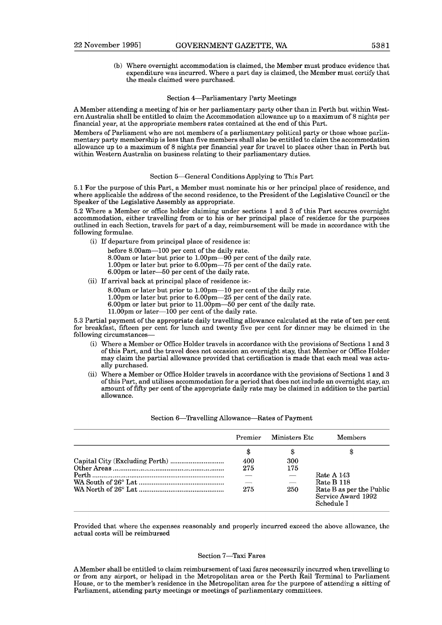(b) Where overnight accommodation is claimed, the Member must produce evidence that expenditure was incurred. Where a part day is claimed, the Member must certify that the meals claimed were purchased.

#### Section 4-Parliamentary Party Meetings

A Member attending a meeting of his or her parliamentary party other than in Perth but within Western Australia shall be entitled to claim the Accommodation allowance up to a maximum of 8 nights per financial year, at the appropriate members rates contained at the end of this Part.

Members of Parliament who are not members of a parliamentary political party or those whose parliamentary party membership is less than five members shall also be entitled to claim the accommodation allowance up to a maximum of 8 nights per financial year for travel to places other than in Perth but within Western Australia on business relating to their parliamentary duties.

#### Section 5-General Conditions Applying to This Part

5.1 For the purpose of this Part, a Member must nominate his or her principal place of residence, and where applicable the address of the second residence, to the President of the Legislative Council or the Speaker of the Legislative Assembly as appropriate.

5.2 Where a Member or office holder claiming under sections 1 and 3 of this Part secures overnight accommodation, either travelling from or to his or her principal place of residence for the purposes outlined in each Section, travels for part of a day, reimbursement will be made in accordance with the following formulae.

(i) If departure from principal place of residence is:

before 8.00am-100 per cent of the daily rate. 8.00am or later but prior to 1.00pm-90 per cent of the daily rate.

- 1.00pm or later but prior to 6.00pm-75 per cent of the daily rate.
- 6.00pm or later-50 per cent of the daily rate.
- (ii) If arrival back at principal place of residence is:-
	- 8.00am or later but prior to 1.00pm-10 per cent of the daily rate.
	- 1.00pm or later but prior to 6.00pm-25 per cent of the daily rate.
	- $6.00 \,\mathrm{pm}$  or later but prior to  $11.00 \,\mathrm{pm}{-50}$  per cent of the daily rate.
	- 11.00pm or later-100 per cent of the daily rate.

5.3 Partial payment of the appropriate daily travelling allowance calculated at the rate of ten per cent for breakfast, fifteen per cent for lunch and twenty five per cent for dinner may be claimed in the following circumstances-

- (i) Where a Member or Office Holder travels in accordance with the provisions of Sections 1 and 3 of this Part, and the travel does not occasion an overnight stay, that Member or Office Holder may claim the partial allowance provided that certification is made that each meal was actually purchased.
- (ii) Where a Member or Office Holder travels in accordance with the provisions of Sections 1 and **3**  of this Part, and utilises accommodation for a period that does not include an overnight stay, an amount of fifty per cent of the appropriate daily rate may be claimed in addition to the partial allowance.

| Premier | Ministers Etc            | Members                                                      |
|---------|--------------------------|--------------------------------------------------------------|
|         |                          |                                                              |
| 400     | 300                      |                                                              |
| 275     | 175                      |                                                              |
|         |                          | Rate A 143                                                   |
|         | $\overline{\phantom{a}}$ | Rate B 118                                                   |
| 275     | 250                      | Rate B as per the Public<br>Service Award 1992<br>Schedule I |

#### Section 6-Travelling Allowance-Rates of Payment

Provided that where the expenses reasonably and properly incurred exceed the above allowance, the actual costs will be reimbursed

#### Section 7-Taxi Fares

A Member shall be entitled to claim reimbursement of taxi fares necessarily incurred when travelling to or from any airport, or helipad in the Metropolitan area or the Perth Rail Terminal to Parliament House, or to the member's residence in the Metropolitan area for the purpose of attending **a** sitting of Parliament, attending party meetings or meetings of parliamentary committees.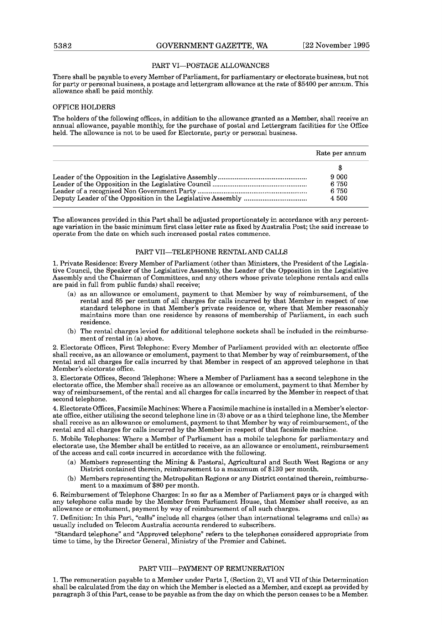#### PART VI-POSTAGE ALLOWANCES

There shall be payable to every Member of Parliament, for parliamentary or electorate business, but not for party or personal business, a postage and lettergram allowance at the rate of \$5400 per annum. This allowance shall be paid monthly.

#### OFFICE HOLDERS

The holders of the following offices, in addition to the allowance granted as a Member, shall receive an annual allowance, payable monthly, for the purchase of postal and Lettergram facilities for the Office held. The allowance is not to be used for Electorate, party or personal business.

| Rate per annum |
|----------------|
| Ж              |
| 9 000          |
| 6 750          |
| 6.750          |
| 4 500          |

The allowances provided in this Part shall be adjusted proportionately in accordance with any percentage variation in the basic minimum first class letter rate as fixed by Australia Post; the said increase to operate from the date on which such increased postal rates commence.

#### PART VII-TELEPHONE RENTAL AND CALLS

**1.** Private Residence: Every Member of Parliament (other than Ministers, the President of the Legislative Council, the Speaker of the Legislative Assembly, the Leader of the Opposition in the Legislative Assembly and the Chairman of Committees, and any others whose private telephone rentals and calls are paid in full from public funds) shall receive;

- (a) as an allowance or emolument, payment to that Member by way of reimbursement, of the rental and 85 per centum of all charges for calls incurred by that Member in respect of one standard telephone in that Member's private residence or, where that Member reasonably maintains more than one residence by reasons of membership of Parliament, in each such residence.
- (b) The rental charges levied for additional telephone sockets shall be included in the reimbursement of rental in (a) above.

**2.** Electorate Offices, First Telephone: Every Member of Parliament provided with an electorate office shall receive, as an allowance or emolument, payment to that Member by way of reimbursement, of the rental and all charges for calls incurred by that Member in respect of an approved telephone in that Member's electorate office.

**3.** Electorate Offices, Second Telephone: Where a Member of Parliament has a second telephone in the electorate office, the Member shall receive as an allowance or emolument, payment to that Member by way of reimbursement, of the rental and all charges for calls incurred by the Member in respect of that second telephone.

4. Electorate Offices, Facsimile Machines: Where a Facsimile machine is installed in a Member's electorate office, either utilising the second telephone line in **(3)** above or as a third telephone line, the Member shall receive as an allowance or emolument, payment to that Member by way of reimbursement, of the rental and **all** charges for calls incurred by the Member in respect of that facsimile machine.

5. Mobile Telephones: Where a Member of Parliament has a mobile telephone for parliamentary and electorate use, the Member shall be entitled to receive, as an allowance or emolument, reimbursement of the access and call costs incurred in accordance with the following.

- (a) Members representing the Mining & Pastoral, Agricultural and South West Regions or any District contained therein, reimbursement to a maximum of \$130 per month.
- (b) Members representing the Metropolitan Regions or any District contained therein, reimbursement to a maximum of \$80 per month.

**B.** Reimbursement of Telephone Charges: In so far as a Member of Parliament pays or is charged with any telephone calls made by the Member from Parliament House, that Member shall receive, as an allowance or emolument, payment by way of reimbursement of all such charges.

7. Delinition: In this Part, "calls" include all charges (other than international telegrams and calls) as usually included on Telecom Australia accounts rendered to subscribers.

"Standard telephone" and "Approved telephone" refers to the telephones considered appropriate from time to time, by the Director General, Ministry of the Premier and Cabinet.

#### PART VIII-PAYMENT OF REMUNERATION

**1.** The remuneration payable to a Member under Parts I, (Section **2),** V1 and V11 ofthis Determination shall be calculated from the day on which the Member is elected as a Member, and except as provided by paragraph **3** of this Part, cease to be payable as from the day on which the person ceases to be a Member.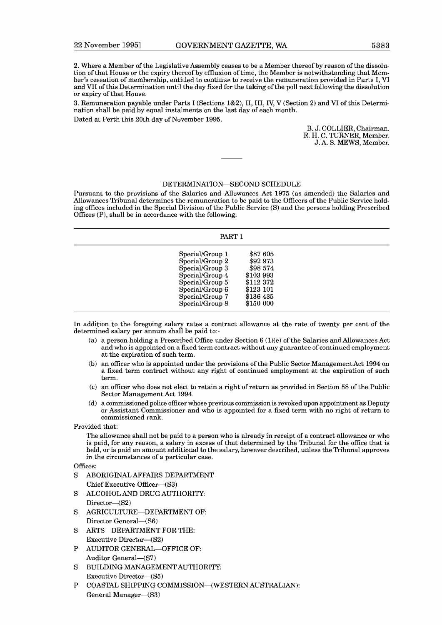2. Where a Member of the Legislative Assembly ceases to be a Member thereof by reason of the dissolution of that House or the expiry thereof by effluxion of time, the Member is notwithstanding that Member's cessation of membership, entitled to continue to receive the remuneration provided in Parts I, VI and VII of this Determination until the day fixed for the taking of the poll next following the dissolution or expiry of that House.

3. Remuneration payable under Parts I (Sections 1&2), 11,111, IV, V (Section 2) and V1 of this Determination shall be paid by equal instalments on the last day of each month.

Dated at Perth this 20th day of November 1995.

B. J. COLLIER, Chairman. R. H. C. TURNER, Member. J.A. S. MEWS, Member.

#### DETERMINATION-SECOND SCHEDULE

Pursuant to the provisions of the Salaries and Allowances Act 1975 (as amended) the Salaries and Allowances Tribunal determines the remuneration to be paid to the Officers of the Public Service holding offices included in the Special Division of the Public Service (S) and the persons holding Prescribed Offices (P), shall be in accordance with the following.

#### PART 1

| Special/Group 1 | \$87 605  |
|-----------------|-----------|
| Special/Group 2 | \$92 973  |
| Special/Group 3 | \$98 574  |
| Special/Group 4 | \$103 993 |
| Special/Group 5 | \$112372  |
| Special/Group 6 | \$123 101 |
| Special/Group 7 | \$136 435 |
| Special/Group 8 | \$150 000 |

In addition to the foregoing salary rates a contract allowance at the rate of twenty per cent of the determined salary per annum shall be paid to:-

- (a) a person holding a Prescribed Office under Section  $6(1)(e)$  of the Salaries and Allowances Act and who is appointed on a fixed term contract without any guarantee of continued employment at the expiration of such term.
- (b) an officer who is appointed under the provisions of the Public Sector Management Act 1994 on a fixed term contract without any right of continued employment at the expiration of such term.
- (C) an officer who does not elect to retain a right of return as provided in Section 58 of the Public Sector Management Act 1994.
- (d) a commissioned police officer whose previous commission is revoked upon appointment as Deputy or Assistant Commissioner and who is appointed for a fixed term with no right of return to commissioned rank.

Provided that:

The allowance shall not be paid to a person who is already in receipt of a contract allowance or who is paid, for any reason, a salary in excess of that determined by the Tribunal for the office that is held, or is paid an amount additional to the salary, however described, unless the Tribunal approves in the circumstances of a particular case.

 $Offices$ 

- S ABORIGINAL AFFAIRS DEPARTMENT Chief Executive Officer-(S3)
- S ALCOHOL AND DRUG AUTHORITY: Director-(S2)
- S AGRICULTURE-DEPARTMENT OF: Director General-(S6)
- S ARTS-DEPARTMENT FOR THE: Executive Director-(S2)
- P AUDITOR GENERAL-OFFICE OF: Auditor General-(S7)
- S BUILDING MANAGEMENT AUTHORITY: Executive Director-(S5)
- P COASTAL SHIPPING COMMISSION-(WESTERN AUSTRALIAN): General Manager-(S3)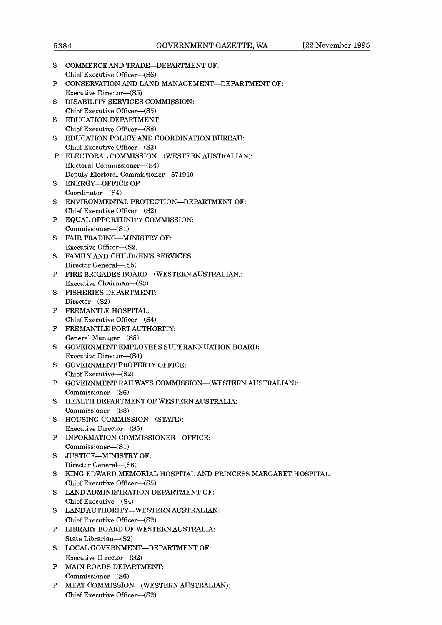| s  | COMMERCE AND TRADE—DEPARTMENT OF:<br>Chief Executive Officer—(S6)                 |
|----|-----------------------------------------------------------------------------------|
| Ρ  | CONSERVATION AND LAND MANAGEMENT—DEPARTMENT OF:<br>Executive Director—(S5)        |
| s  | DISABILITY SERVICES COMMISSION:                                                   |
| s  | Chief Executive Officer-(S5)<br><b>EDUCATION DEPARTMENT</b>                       |
|    | Chief Executive Officer-(S8)                                                      |
| S  | EDUCATION POLICY AND COORDINATION BUREAU:                                         |
| P  | Chief Executive Officer-(S3)<br>ELECTORAL COMMISSION—(WESTERN AUSTRALIAN):        |
|    | Electoral Commissioner-(S4)                                                       |
|    | Deputy Electoral Commissioner-\$71910                                             |
| s  | <b>ENERGY-OFFICE OF</b>                                                           |
|    | Coordinator-(S4)                                                                  |
| s  | ENVIRONMENTAL PROTECTION-DEPARTMENT OF:                                           |
|    | Chief Executive Officer-(S2)                                                      |
| Ρ  | EQUAL OPPORTUNITY COMMISSION:                                                     |
|    | Commissioner-(S1)                                                                 |
| S  | FAIR TRADING-MINISTRY OF:                                                         |
|    | Executive Officer-(S2)                                                            |
| S  | FAMILY AND CHILDREN'S SERVICES:                                                   |
|    | Director General—(S5)                                                             |
| Ρ  | FIRE BRIGADES BOARD—(WESTERN AUSTRALIAN):                                         |
|    | Executive Chairman—(S3)                                                           |
| S  | <b>FISHERIES DEPARTMENT:</b>                                                      |
|    | $Director - (S2)$                                                                 |
| Ρ  | <b>FREMANTLE HOSPITAL:</b>                                                        |
|    | Chief Executive Officer—(S4)                                                      |
| Ρ  | FREMANTLE PORT AUTHORITY:                                                         |
|    | General Manager-(S5)                                                              |
| S. | GOVERNMENT EMPLOYEES SUPERANNUATION BOARD:                                        |
|    | Executive Director—(S4)<br><b>GOVERNMENT PROPERTY OFFICE:</b>                     |
| S  |                                                                                   |
| Ρ  | $Chief$ Executive $-(S2)$<br>GOVERNMENT RAILWAYS COMMISSION—(WESTERN AUSTRALIAN): |
|    | $Commissioner-(S6)$                                                               |
| S  | HEALTH DEPARTMENT OF WESTERN AUSTRALIA:                                           |
|    | Commissioner-(S8)                                                                 |
| S  | HOUSING COMMISSION-(STATE):                                                       |
|    | Executive Director-(S5)                                                           |
| Ρ  | INFORMATION COMMISSIONER-OFFICE:                                                  |
|    | Commissioner-(S1)                                                                 |
| S  | <b>JUSTICE-MINISTRY OF:</b>                                                       |
|    | Director General-(S6)                                                             |
| S  | KING EDWARD MEMORIAL HOSPITAL AND PRINCESS MARGARET HOSPITAL:                     |
|    | Chief Executive Officer-(S5)                                                      |
| S  | LAND ADMINISTRATION DEPARTMENT OF:                                                |
|    | Chief Executive $ (S4)$                                                           |
| S  | LAND AUTHORITY-WESTERN AUSTRALIAN:                                                |
|    | Chief Executive Officer-(S2)                                                      |
| Ρ  | LIBRARY BOARD OF WESTERN AUSTRALIA:                                               |
|    | State Librarian-(S2)                                                              |
| S  | LOCAL GOVERNMENT-DEPARTMENT OF:                                                   |
|    | Executive Director-(S2)                                                           |
| Ρ  | <b>MAIN ROADS DEPARTMENT:</b>                                                     |
|    | Commissioner-(S6)                                                                 |
| Ρ  | MEAT COMMISSION-(WESTERN AUSTRALIAN):                                             |

Chief Executive Officer-(S2)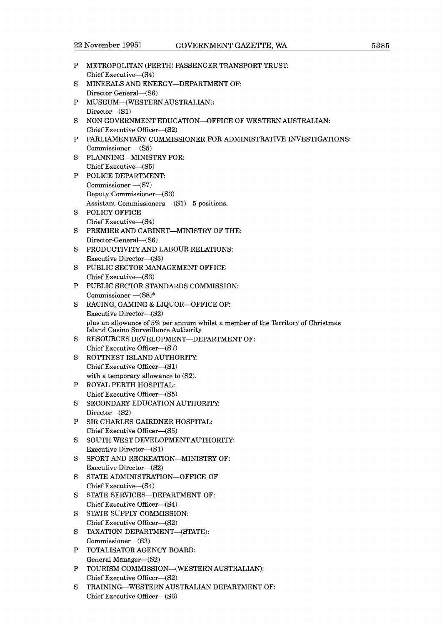| P | METROPOLITAN (PERTH) PASSENGER TRANSPORT TRUST.                                 |
|---|---------------------------------------------------------------------------------|
|   | Chief Executive-(S4)                                                            |
| S | MINERALS AND ENERGY-DEPARTMENT OF:                                              |
|   | Director General-(S6)                                                           |
| P | MUSEUM-(WESTERN AUSTRALIAN):                                                    |
|   | Director- $(S1)$                                                                |
| S | NON GOVERNMENT EDUCATION-OFFICE OF WESTERN AUSTRALIAN:                          |
|   | Chief Executive Officer-(S2)                                                    |
| P | PARLIAMENTARY COMMISSIONER FOR ADMINISTRATIVE INVESTIGATIONS:                   |
|   | Commissioner - (S5)                                                             |
| S | PLANNING-MINISTRY FOR:                                                          |
|   | Chief Executive-(S5)                                                            |
| P | POLICE DEPARTMENT:                                                              |
|   | Commissioner - (S7)                                                             |
|   | Deputy Commissioner-(S3)                                                        |
|   | Assistant Commissioners-(S1)-5 positions.                                       |
| S | POLICY OFFICE                                                                   |
|   | Chief Executive-(S4)                                                            |
| S | PREMIER AND CABINET-MINISTRY OF THE:                                            |
|   | Director-General-(S6)                                                           |
| S | PRODUCTIVITY AND LABOUR RELATIONS:                                              |
|   | Executive Director-(S3)<br>PUBLIC SECTOR MANAGEMENT OFFICE                      |
| S | Chief Executive-(S3)                                                            |
| P | PUBLIC SECTOR STANDARDS COMMISSION:                                             |
|   | Commissioner - (S8)*                                                            |
| S | RACING, GAMING & LIQUOR-OFFICE OF:                                              |
|   | Executive Director-(S2)                                                         |
|   | plus an allowance of 5% per annum whilst a member of the Territory of Christmas |
|   | Island Casino Surveillance Authority                                            |
| S | RESOURCES DEVELOPMENT-DEPARTMENT OF:                                            |
|   | Chief Executive Officer-(S7)                                                    |
| S | ROTTNEST ISLAND AUTHORITY:                                                      |
|   | Chief Executive Officer-(S1)                                                    |
|   | with a temporary allowance to (S2).                                             |
| P | ROYAL PERTH HOSPITAL:                                                           |
|   | Chief Executive Officer-(S5)                                                    |
| S | SECONDARY EDUCATION AUTHORITY:                                                  |
|   | Director- $(S2)$                                                                |
| P | SIR CHARLES GAIRDNER HOSPITAL:                                                  |
|   | Chief Executive Officer-(S5)                                                    |
| S | SOUTH WEST DEVELOPMENT AUTHORITY:                                               |
|   | Executive Director-(S1)                                                         |
| S | SPORT AND RECREATION-MINISTRY OF:                                               |
|   | Executive Director-(S2)                                                         |
| S | STATE ADMINISTRATION-OFFICE OF                                                  |
|   | Chief Executive-(S4)                                                            |
| S | STATE SERVICES-DEPARTMENT OF:                                                   |
| S | Chief Executive Officer-(S4)<br>STATE SUPPLY COMMISSION:                        |
|   | Chief Executive Officer-(S2)                                                    |
| s | TAXATION DEPARTMENT-(STATE):                                                    |
|   | Commissioner-(S3)                                                               |
| P | TOTALISATOR AGENCY BOARD:                                                       |
|   | General Manager-(S2)                                                            |
| P | TOURISM COMMISSION-(WESTERN AUSTRALIAN):                                        |
|   | Chief Executive Officer-(S2)                                                    |
| S | TRAINING—WESTERN AUSTRALIAN DEPARTMENT OF:                                      |
|   | Chief Executive Officer-(S6)                                                    |